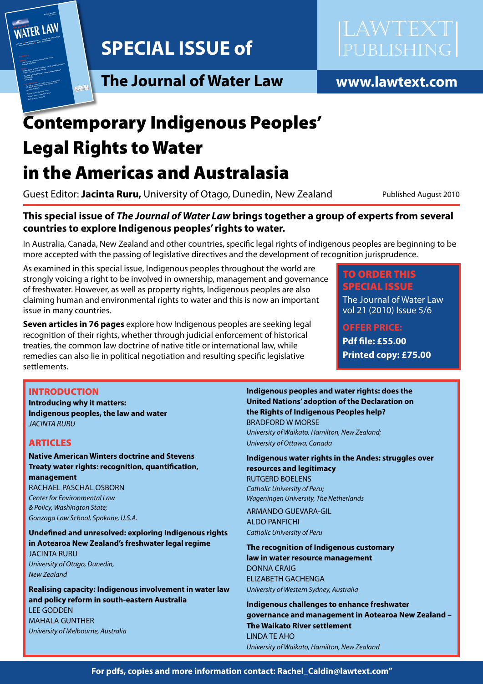

**The Journal of Water Law** 



www.lawtext.com

# **Contemporary Indigenous Peoples' Legal Rights to Water**

# in the Americas and Australasia

Guest Editor: Jacinta Ruru, University of Otago, Dunedin, New Zealand

Published August 2010

# This special issue of The Journal of Water Law brings together a group of experts from several countries to explore Indigenous peoples' rights to water.

In Australia, Canada, New Zealand and other countries, specific legal rights of indigenous peoples are beginning to be more accepted with the passing of legislative directives and the development of recognition jurisprudence.

As examined in this special issue, Indigenous peoples throughout the world are strongly voicing a right to be involved in ownership, management and governance of freshwater. However, as well as property rights, Indigenous peoples are also claiming human and environmental rights to water and this is now an important issue in many countries.

Seven articles in 76 pages explore how Indigenous peoples are seeking legal recognition of their rights, whether through judicial enforcement of historical treaties, the common law doctrine of native title or international law, while remedies can also lie in political negotiation and resulting specific legislative settlements.

# **TO ORDER THIS SPECIAL ISSUE**

The Journal of Water Law vol 21 (2010) Issue 5/6

**OFFER PRICE: Pdf file: £55.00** 

**Printed copy: £75.00** 

### **INTRODUCTION**

**Introducing why it matters:** Indigenous peoples, the law and water **JACINTA RURU** 

### **ARTICLES**

#### **Native American Winters doctrine and Stevens** Treaty water rights: recognition, quantification, management RACHAEL PASCHAL OSBORN

Center for Environmental Law & Policy, Washington State; Gonzaga Law School, Spokane, U.S.A.

Undefined and unresolved: exploring Indigenous rights in Aotearoa New Zealand's freshwater legal regime **JACINTA RURU** University of Otago, Dunedin, **New Zealand** 

Realising capacity: Indigenous involvement in water law and policy reform in south-eastern Australia **LEE GODDEN MAHALA GUNTHER** University of Melbourne, Australia

Indigenous peoples and water rights: does the **United Nations' adoption of the Declaration on** the Rights of Indigenous Peoples help? **BRADFORD W MORSE** University of Waikato, Hamilton, New Zealand; University of Ottawa, Canada

Indigenous water rights in the Andes: struggles over resources and legitimacy **RUTGERD BOELENS** Catholic University of Peru; Wageningen University, The Netherlands

**ARMANDO GUEVARA-GIL ALDO PANFICHI** Catholic University of Peru

The recognition of Indigenous customary law in water resource management **DONNA CRAIG ELIZABETH GACHENGA** University of Western Sydney, Australia

Indigenous challenges to enhance freshwater aovernance and management in Aotearoa New Zealand -**The Waikato River settlement LINDA TE AHO** University of Waikato, Hamilton, New Zealand